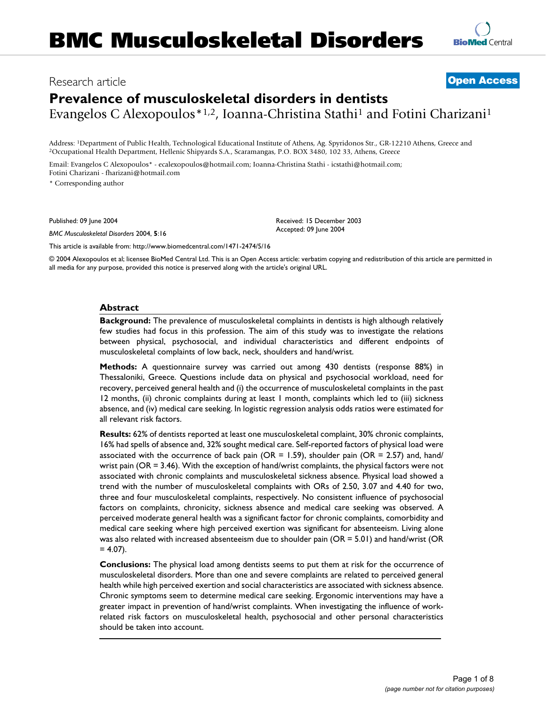## Research article **[Open Access](http://www.biomedcentral.com/info/about/charter/)**

# **Prevalence of musculoskeletal disorders in dentists** Evangelos C Alexopoulos \* 1,2, Ioanna-Christina Stathi<sup>1</sup> and Fotini Charizani<sup>1</sup>

Address: <sup>1</sup>Department of Public Health, Technological Educational Institute of Athens, Ag. Spyridonos Str., GR-12210 Athens, Greece and <sup>2</sup>Occupational Health Department, Hellenic Shipyards S.A., Scaramangas, P.O. BOX 348

Email: Evangelos C Alexopoulos\* - ecalexopoulos@hotmail.com; Ioanna-Christina Stathi - icstathi@hotmail.com; Fotini Charizani - fharizani@hotmail.com

\* Corresponding author

Published: 09 June 2004

*BMC Musculoskeletal Disorders* 2004, **5**:16

[This article is available from: http://www.biomedcentral.com/1471-2474/5/16](http://www.biomedcentral.com/1471-2474/5/16)

© 2004 Alexopoulos et al; licensee BioMed Central Ltd. This is an Open Access article: verbatim copying and redistribution of this article are permitted in all media for any purpose, provided this notice is preserved along with the article's original URL.

Received: 15 December 2003 Accepted: 09 June 2004

#### **Abstract**

**Background:** The prevalence of musculoskeletal complaints in dentists is high although relatively few studies had focus in this profession. The aim of this study was to investigate the relations between physical, psychosocial, and individual characteristics and different endpoints of musculoskeletal complaints of low back, neck, shoulders and hand/wrist.

**Methods:** A questionnaire survey was carried out among 430 dentists (response 88%) in Thessaloniki, Greece. Questions include data on physical and psychosocial workload, need for recovery, perceived general health and (i) the occurrence of musculoskeletal complaints in the past 12 months, (ii) chronic complaints during at least 1 month, complaints which led to (iii) sickness absence, and (iv) medical care seeking. In logistic regression analysis odds ratios were estimated for all relevant risk factors.

**Results:** 62% of dentists reported at least one musculoskeletal complaint, 30% chronic complaints, 16% had spells of absence and, 32% sought medical care. Self-reported factors of physical load were associated with the occurrence of back pain ( $OR = 1.59$ ), shoulder pain ( $OR = 2.57$ ) and, hand/ wrist pain (OR = 3.46). With the exception of hand/wrist complaints, the physical factors were not associated with chronic complaints and musculoskeletal sickness absence. Physical load showed a trend with the number of musculoskeletal complaints with ORs of 2.50, 3.07 and 4.40 for two, three and four musculoskeletal complaints, respectively. No consistent influence of psychosocial factors on complaints, chronicity, sickness absence and medical care seeking was observed. A perceived moderate general health was a significant factor for chronic complaints, comorbidity and medical care seeking where high perceived exertion was significant for absenteeism. Living alone was also related with increased absenteeism due to shoulder pain (OR = 5.01) and hand/wrist (OR  $= 4.07$ ).

**Conclusions:** The physical load among dentists seems to put them at risk for the occurrence of musculoskeletal disorders. More than one and severe complaints are related to perceived general health while high perceived exertion and social characteristics are associated with sickness absence. Chronic symptoms seem to determine medical care seeking. Ergonomic interventions may have a greater impact in prevention of hand/wrist complaints. When investigating the influence of workrelated risk factors on musculoskeletal health, psychosocial and other personal characteristics should be taken into account.

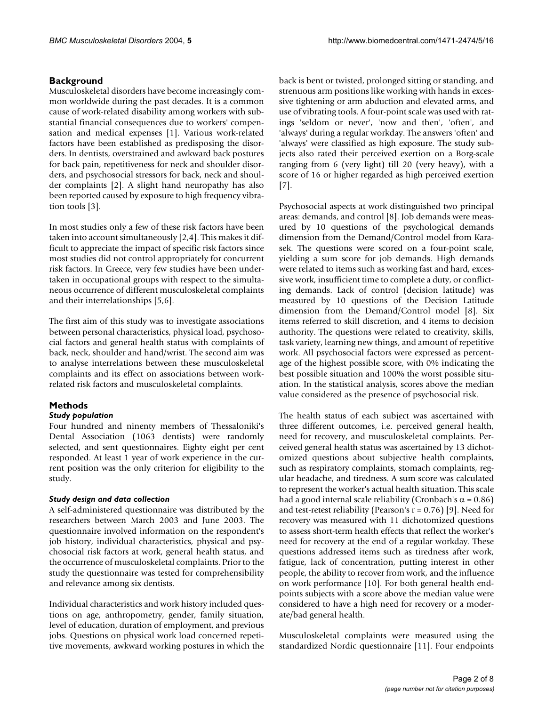### **Background**

Musculoskeletal disorders have become increasingly common worldwide during the past decades. It is a common cause of work-related disability among workers with substantial financial consequences due to workers' compensation and medical expenses [1]. Various work-related factors have been established as predisposing the disorders. In dentists, overstrained and awkward back postures for back pain, repetitiveness for neck and shoulder disorders, and psychosocial stressors for back, neck and shoulder complaints [2]. A slight hand neuropathy has also been reported caused by exposure to high frequency vibration tools [3].

In most studies only a few of these risk factors have been taken into account simultaneously [2,4]. This makes it difficult to appreciate the impact of specific risk factors since most studies did not control appropriately for concurrent risk factors. In Greece, very few studies have been undertaken in occupational groups with respect to the simultaneous occurrence of different musculoskeletal complaints and their interrelationships [5,6].

The first aim of this study was to investigate associations between personal characteristics, physical load, psychosocial factors and general health status with complaints of back, neck, shoulder and hand/wrist. The second aim was to analyse interrelations between these musculoskeletal complaints and its effect on associations between workrelated risk factors and musculoskeletal complaints.

### **Methods**

### *Study population*

Four hundred and ninenty members of Thessaloniki's Dental Association (1063 dentists) were randomly selected, and sent questionnaires. Eighty eight per cent responded. At least 1 year of work experience in the current position was the only criterion for eligibility to the study.

### *Study design and data collection*

A self-administered questionnaire was distributed by the researchers between March 2003 and June 2003. The questionnaire involved information on the respondent's job history, individual characteristics, physical and psychosocial risk factors at work, general health status, and the occurrence of musculoskeletal complaints. Prior to the study the questionnaire was tested for comprehensibility and relevance among six dentists.

Individual characteristics and work history included questions on age, anthropometry, gender, family situation, level of education, duration of employment, and previous jobs. Questions on physical work load concerned repetitive movements, awkward working postures in which the back is bent or twisted, prolonged sitting or standing, and strenuous arm positions like working with hands in excessive tightening or arm abduction and elevated arms, and use of vibrating tools. A four-point scale was used with ratings 'seldom or never', 'now and then', 'often', and 'always' during a regular workday. The answers 'often' and 'always' were classified as high exposure. The study subjects also rated their perceived exertion on a Borg-scale ranging from 6 (very light) till 20 (very heavy), with a score of 16 or higher regarded as high perceived exertion [7].

Psychosocial aspects at work distinguished two principal areas: demands, and control [8]. Job demands were measured by 10 questions of the psychological demands dimension from the Demand/Control model from Karasek. The questions were scored on a four-point scale, yielding a sum score for job demands. High demands were related to items such as working fast and hard, excessive work, insufficient time to complete a duty, or conflicting demands. Lack of control (decision latitude) was measured by 10 questions of the Decision Latitude dimension from the Demand/Control model [8]. Six items referred to skill discretion, and 4 items to decision authority. The questions were related to creativity, skills, task variety, learning new things, and amount of repetitive work. All psychosocial factors were expressed as percentage of the highest possible score, with 0% indicating the best possible situation and 100% the worst possible situation. In the statistical analysis, scores above the median value considered as the presence of psychosocial risk.

The health status of each subject was ascertained with three different outcomes, i.e. perceived general health, need for recovery, and musculoskeletal complaints. Perceived general health status was ascertained by 13 dichotomized questions about subjective health complaints, such as respiratory complaints, stomach complaints, regular headache, and tiredness. A sum score was calculated to represent the worker's actual health situation. This scale had a good internal scale reliability (Cronbach's  $\alpha$  = 0.86) and test-retest reliability (Pearson's  $r = 0.76$ ) [9]. Need for recovery was measured with 11 dichotomized questions to assess short-term health effects that reflect the worker's need for recovery at the end of a regular workday. These questions addressed items such as tiredness after work, fatigue, lack of concentration, putting interest in other people, the ability to recover from work, and the influence on work performance [10]. For both general health endpoints subjects with a score above the median value were considered to have a high need for recovery or a moderate/bad general health.

Musculoskeletal complaints were measured using the standardized Nordic questionnaire [11]. Four endpoints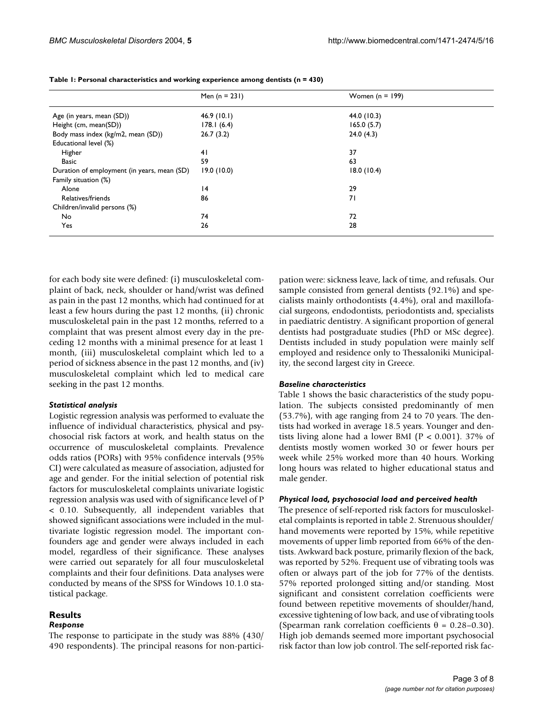|                                             | Men $(n = 231)$ | Women $(n = 199)$ |  |
|---------------------------------------------|-----------------|-------------------|--|
| Age (in years, mean (SD))                   | 46.9(10.1)      | 44.0 (10.3)       |  |
| Height (cm, mean(SD))                       | 178.1(6.4)      | 165.0(5.7)        |  |
| Body mass index (kg/m2, mean (SD))          | 26.7(3.2)       | 24.0(4.3)         |  |
| Educational level (%)                       |                 |                   |  |
| Higher                                      | 41              | 37                |  |
| <b>Basic</b>                                | 59              | 63                |  |
| Duration of employment (in years, mean (SD) | 19.0(10.0)      | 18.0(10.4)        |  |
| Family situation (%)                        |                 |                   |  |
| Alone                                       | 4               | 29                |  |
| Relatives/friends                           | 86              | 71                |  |
| Children/invalid persons (%)                |                 |                   |  |
| No                                          | 74              | 72                |  |
| Yes                                         | 26              | 28                |  |

**Table 1: Personal characteristics and working experience among dentists (n = 430)**

for each body site were defined: (i) musculoskeletal complaint of back, neck, shoulder or hand/wrist was defined as pain in the past 12 months, which had continued for at least a few hours during the past 12 months, (ii) chronic musculoskeletal pain in the past 12 months, referred to a complaint that was present almost every day in the preceding 12 months with a minimal presence for at least 1 month, (iii) musculoskeletal complaint which led to a period of sickness absence in the past 12 months, and (iv) musculoskeletal complaint which led to medical care seeking in the past 12 months.

#### *Statistical analysis*

Logistic regression analysis was performed to evaluate the influence of individual characteristics, physical and psychosocial risk factors at work, and health status on the occurrence of musculoskeletal complaints. Prevalence odds ratios (PORs) with 95% confidence intervals (95% CI) were calculated as measure of association, adjusted for age and gender. For the initial selection of potential risk factors for musculoskeletal complaints univariate logistic regression analysis was used with of significance level of P < 0.10. Subsequently, all independent variables that showed significant associations were included in the multivariate logistic regression model. The important confounders age and gender were always included in each model, regardless of their significance. These analyses were carried out separately for all four musculoskeletal complaints and their four definitions. Data analyses were conducted by means of the SPSS for Windows 10.1.0 statistical package.

#### **Results** *Response*

The response to participate in the study was 88% (430/ 490 respondents). The principal reasons for non-participation were: sickness leave, lack of time, and refusals. Our sample consisted from general dentists (92.1%) and specialists mainly orthodontists (4.4%), oral and maxillofacial surgeons, endodontists, periodontists and, specialists in paediatric dentistry. A significant proportion of general dentists had postgraduate studies (PhD or MSc degree). Dentists included in study population were mainly self employed and residence only to Thessaloniki Municipality, the second largest city in Greece.

#### *Baseline characteristics*

Table 1 shows the basic characteristics of the study population. The subjects consisted predominantly of men (53.7%), with age ranging from 24 to 70 years. The dentists had worked in average 18.5 years. Younger and dentists living alone had a lower BMI ( $P < 0.001$ ). 37% of dentists mostly women worked 30 or fewer hours per week while 25% worked more than 40 hours. Working long hours was related to higher educational status and male gender.

#### *Physical load, psychosocial load and perceived health*

The presence of self-reported risk factors for musculoskeletal complaints is reported in table [2.](#page-3-0) Strenuous shoulder/ hand movements were reported by 15%, while repetitive movements of upper limb reported from 66% of the dentists. Awkward back posture, primarily flexion of the back, was reported by 52%. Frequent use of vibrating tools was often or always part of the job for 77% of the dentists. 57% reported prolonged sitting and/or standing. Most significant and consistent correlation coefficients were found between repetitive movements of shoulder/hand, excessive tightening of low back, and use of vibrating tools (Spearman rank correlation coefficients  $\theta = 0.28 - 0.30$ ). High job demands seemed more important psychosocial risk factor than low job control. The self-reported risk fac-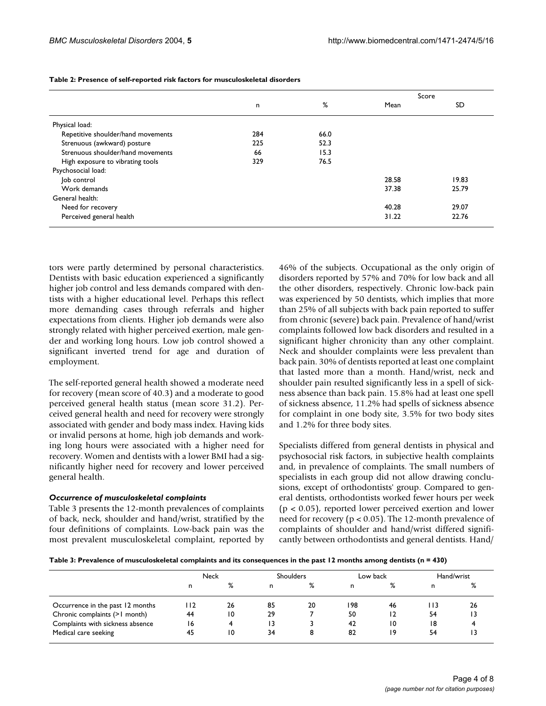|                                    |     |      |       | Score     |
|------------------------------------|-----|------|-------|-----------|
|                                    | n   | %    | Mean  | <b>SD</b> |
| Physical load:                     |     |      |       |           |
| Repetitive shoulder/hand movements | 284 | 66.0 |       |           |
| Strenuous (awkward) posture        | 225 | 52.3 |       |           |
| Strenuous shoulder/hand movements  | 66  | 15.3 |       |           |
| High exposure to vibrating tools   | 329 | 76.5 |       |           |
| Psychosocial load:                 |     |      |       |           |
| lob control                        |     |      | 28.58 | 19.83     |
| Work demands                       |     |      | 37.38 | 25.79     |
| General health:                    |     |      |       |           |
| Need for recovery                  |     |      | 40.28 | 29.07     |
| Perceived general health           |     |      | 31.22 | 22.76     |

<span id="page-3-0"></span>**Table 2: Presence of self-reported risk factors for musculoskeletal disorders**

tors were partly determined by personal characteristics. Dentists with basic education experienced a significantly higher job control and less demands compared with dentists with a higher educational level. Perhaps this reflect more demanding cases through referrals and higher expectations from clients. Higher job demands were also strongly related with higher perceived exertion, male gender and working long hours. Low job control showed a significant inverted trend for age and duration of employment.

The self-reported general health showed a moderate need for recovery (mean score of 40.3) and a moderate to good perceived general health status (mean score 31.2). Perceived general health and need for recovery were strongly associated with gender and body mass index. Having kids or invalid persons at home, high job demands and working long hours were associated with a higher need for recovery. Women and dentists with a lower BMI had a significantly higher need for recovery and lower perceived general health.

#### *Occurrence of musculoskeletal complaints*

Table 3 presents the 12-month prevalences of complaints of back, neck, shoulder and hand/wrist, stratified by the four definitions of complaints. Low-back pain was the most prevalent musculoskeletal complaint, reported by 46% of the subjects. Occupational as the only origin of disorders reported by 57% and 70% for low back and all the other disorders, respectively. Chronic low-back pain was experienced by 50 dentists, which implies that more than 25% of all subjects with back pain reported to suffer from chronic (severe) back pain. Prevalence of hand/wrist complaints followed low back disorders and resulted in a significant higher chronicity than any other complaint. Neck and shoulder complaints were less prevalent than back pain. 30% of dentists reported at least one complaint that lasted more than a month. Hand/wrist, neck and shoulder pain resulted significantly less in a spell of sickness absence than back pain. 15.8% had at least one spell of sickness absence, 11.2% had spells of sickness absence for complaint in one body site, 3.5% for two body sites and 1.2% for three body sites.

Specialists differed from general dentists in physical and psychosocial risk factors, in subjective health complaints and, in prevalence of complaints. The small numbers of specialists in each group did not allow drawing conclusions, except of orthodontists' group. Compared to general dentists, orthodontists worked fewer hours per week (p < 0.05), reported lower perceived exertion and lower need for recovery (p < 0.05). The 12-month prevalence of complaints of shoulder and hand/wrist differed significantly between orthodontists and general dentists. Hand/

**Table 3: Prevalence of musculoskeletal complaints and its consequences in the past 12 months among dentists (n = 430)**

|                                  | Neck |    |    | <b>Shoulders</b> |     | Low back |       | Hand/wrist |
|----------------------------------|------|----|----|------------------|-----|----------|-------|------------|
|                                  | n    | %  | n  | ℅                | n   | ℅        | n     | %          |
| Occurrence in the past 12 months | 112  | 26 | 85 | 20               | 198 | 46       | l I 3 | 26         |
| Chronic complaints (>1 month)    | 44   | 10 | 29 |                  | 50  | 12       | 54    | 13         |
| Complaints with sickness absence | 16   | 4  | 13 |                  | 42  | 10       | 18    |            |
| Medical care seeking             | 45   | 10 | 34 | 8                | 82  | 19       | 54    |            |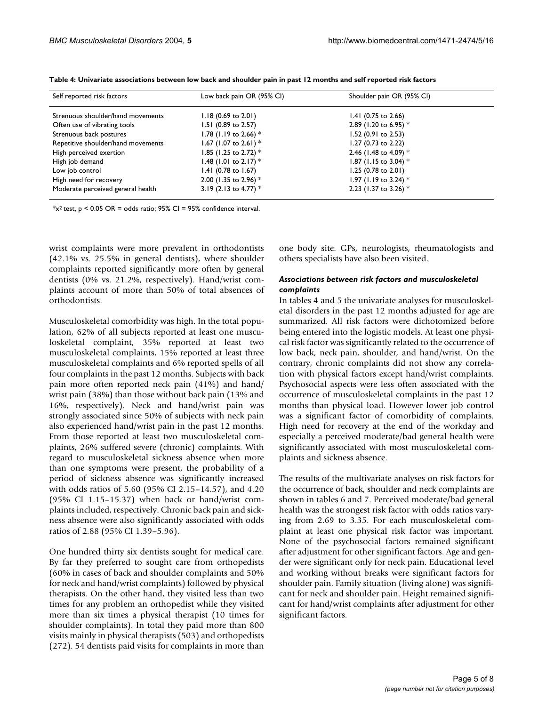| Self reported risk factors         | Low back pain OR (95% CI)      | Shoulder pain OR (95% CI) |  |
|------------------------------------|--------------------------------|---------------------------|--|
| Strenuous shoulder/hand movements  | $1.18$ (0.69 to 2.01)          | $1.41$ (0.75 to 2.66)     |  |
| Often use of vibrating tools       | 1.51 (0.89 to 2.57)            | 2.89 (1.20 to 6.95) $*$   |  |
| Strenuous back postures            | 1.78 (1.19 to 2.66) $*$        | 1.52 (0.91 to 2.53)       |  |
| Repetitive shoulder/hand movements | 1.67 (1.07 to 2.61) $*$        | 1.27 (0.73 to 2.22)       |  |
| High perceived exertion            | 1.85 (1.25 to 2.72) $*$        | 2.46 (1.48 to 4.09) $*$   |  |
| High job demand                    | 1.48 (1.01 to 2.17) $*$        | 1.87 (1.15 to 3.04) $*$   |  |
| Low job control                    | 1.41 $(0.78 \text{ to } 1.67)$ | 1.25 (0.78 to 2.01)       |  |
| High need for recovery             | 2.00 (1.35 to 2.96) $*$        | 1.97 (1.19 to 3.24) $*$   |  |
| Moderate perceived general health  | 3.19 (2.13 to 4.77) $*$        | 2.23 (1.37 to 3.26) $*$   |  |

**Table 4: Univariate associations between low back and shoulder pain in past 12 months and self reported risk factors**

 $*x^2$  test, p < 0.05 OR = odds ratio; 95% CI = 95% confidence interval.

wrist complaints were more prevalent in orthodontists (42.1% vs. 25.5% in general dentists), where shoulder complaints reported significantly more often by general dentists (0% vs. 21.2%, respectively). Hand/wrist complaints account of more than 50% of total absences of orthodontists.

Musculoskeletal comorbidity was high. In the total population, 62% of all subjects reported at least one musculoskeletal complaint, 35% reported at least two musculoskeletal complaints, 15% reported at least three musculoskeletal complaints and 6% reported spells of all four complaints in the past 12 months. Subjects with back pain more often reported neck pain (41%) and hand/ wrist pain (38%) than those without back pain (13% and 16%, respectively). Neck and hand/wrist pain was strongly associated since 50% of subjects with neck pain also experienced hand/wrist pain in the past 12 months. From those reported at least two musculoskeletal complaints, 26% suffered severe (chronic) complaints. With regard to musculoskeletal sickness absence when more than one symptoms were present, the probability of a period of sickness absence was significantly increased with odds ratios of 5.60 (95% CI 2.15–14.57), and 4.20 (95% CI 1.15–15.37) when back or hand/wrist complaints included, respectively. Chronic back pain and sickness absence were also significantly associated with odds ratios of 2.88 (95% CI 1.39–5.96).

One hundred thirty six dentists sought for medical care. By far they preferred to sought care from orthopedists (60% in cases of back and shoulder complaints and 50% for neck and hand/wrist complaints) followed by physical therapists. On the other hand, they visited less than two times for any problem an orthopedist while they visited more than six times a physical therapist (10 times for shoulder complaints). In total they paid more than 800 visits mainly in physical therapists (503) and orthopedists (272). 54 dentists paid visits for complaints in more than

one body site. GPs, neurologists, rheumatologists and others specialists have also been visited.

#### *Associations between risk factors and musculoskeletal complaints*

In tables 4 and [5](#page-5-0) the univariate analyses for musculoskeletal disorders in the past 12 months adjusted for age are summarized. All risk factors were dichotomized before being entered into the logistic models. At least one physical risk factor was significantly related to the occurrence of low back, neck pain, shoulder, and hand/wrist. On the contrary, chronic complaints did not show any correlation with physical factors except hand/wrist complaints. Psychosocial aspects were less often associated with the occurrence of musculoskeletal complaints in the past 12 months than physical load. However lower job control was a significant factor of comorbidity of complaints. High need for recovery at the end of the workday and especially a perceived moderate/bad general health were significantly associated with most musculoskeletal complaints and sickness absence.

The results of the multivariate analyses on risk factors for the occurrence of back, shoulder and neck complaints are shown in tables 6 and [7](#page-5-1). Perceived moderate/bad general health was the strongest risk factor with odds ratios varying from 2.69 to 3.35. For each musculoskeletal complaint at least one physical risk factor was important. None of the psychosocial factors remained significant after adjustment for other significant factors. Age and gender were significant only for neck pain. Educational level and working without breaks were significant factors for shoulder pain. Family situation (living alone) was significant for neck and shoulder pain. Height remained significant for hand/wrist complaints after adjustment for other significant factors.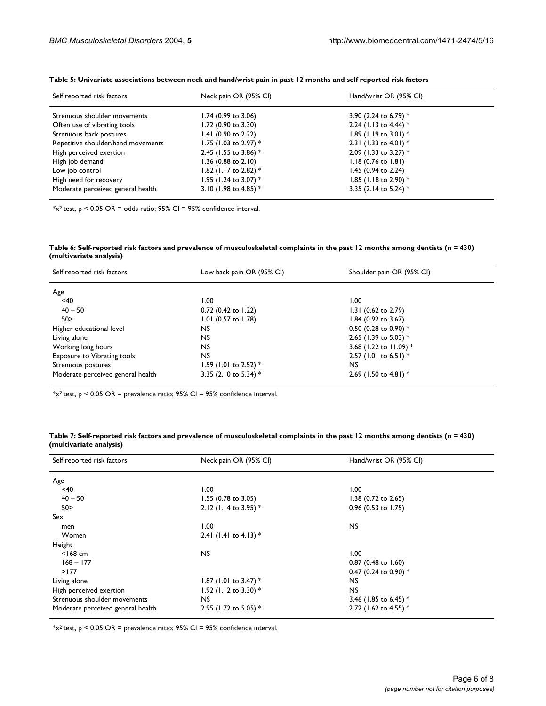| Self reported risk factors         | Neck pain OR (95% CI)   | Hand/wrist OR (95% CI)        |  |
|------------------------------------|-------------------------|-------------------------------|--|
|                                    |                         |                               |  |
| Strenuous shoulder movements       | 1.74 (0.99 to 3.06)     | 3.90 (2.24 to 6.79) $*$       |  |
| Often use of vibrating tools       | 1.72 (0.90 to 3.30)     | 2.24 (1.13 to 4.44) $*$       |  |
| Strenuous back postures            | 1.41 (0.90 to 2.22)     | 1.89 (1.19 to 3.01) $*$       |  |
| Repetitive shoulder/hand movements | 1.75 (1.03 to 2.97) $*$ | 2.31 (1.33 to 4.01) $*$       |  |
| High perceived exertion            | 2.45 (1.55 to 3.86) $*$ | 2.09 (1.33 to 3.27) $*$       |  |
| High job demand                    | 1.36 (0.88 to 2.10)     | $1.18(0.76 \text{ to } 1.81)$ |  |
| Low job control                    | 1.82 (1.17 to 2.82) $*$ | 1.45 (0.94 to 2.24)           |  |
| High need for recovery             | 1.95 (1.24 to 3.07) $*$ | 1.85 (1.18 to 2.90) $*$       |  |
| Moderate perceived general health  | 3.10 (1.98 to 4.85) $*$ | 3.35 (2.14 to 5.24) $*$       |  |
|                                    |                         |                               |  |

<span id="page-5-0"></span>**Table 5: Univariate associations between neck and hand/wrist pain in past 12 months and self reported risk factors**

 $*x^2$  test,  $p < 0.05$  OR = odds ratio; 95% CI = 95% confidence interval.

**Table 6: Self-reported risk factors and prevalence of musculoskeletal complaints in the past 12 months among dentists (n = 430) (multivariate analysis)**

| Self reported risk factors         | Low back pain OR (95% CI) | Shoulder pain OR (95% CI) |  |
|------------------------------------|---------------------------|---------------------------|--|
| Age                                |                           |                           |  |
| $<$ 40                             | 1.00                      | 1.00                      |  |
| $40 - 50$                          | 0.72 (0.42 to 1.22)       | 1.31 (0.62 to 2.79)       |  |
| 50 >                               | 1.01 (0.57 to 1.78)       | 1.84 (0.92 to 3.67)       |  |
| Higher educational level           | NS.                       | 0.50 (0.28 to 0.90) $*$   |  |
| Living alone                       | NS.                       | 2.65 (1.39 to 5.03) $*$   |  |
| Working long hours                 | NS.                       | 3.68 (1.22 to 11.09) $*$  |  |
| <b>Exposure to Vibrating tools</b> | NS.                       | 2.57 (1.01 to 6.51) $*$   |  |
| Strenuous postures                 | 1.59 (1.01 to 2.52) $*$   | <b>NS</b>                 |  |
| Moderate perceived general health  | 3.35 (2.10 to 5.34) $*$   | 2.69 (1.50 to 4.81) $*$   |  |

 $*_{x^2}$  test, p < 0.05 OR = prevalence ratio; 95% CI = 95% confidence interval.

<span id="page-5-1"></span>**Table 7: Self-reported risk factors and prevalence of musculoskeletal complaints in the past 12 months among dentists (n = 430) (multivariate analysis)**

| Self reported risk factors        | Neck pain OR (95% CI)   | Hand/wrist OR (95% CI)         |
|-----------------------------------|-------------------------|--------------------------------|
| Age                               |                         |                                |
| <40                               | 1.00                    | 1.00                           |
| $40 - 50$                         | $1.55$ (0.78 to 3.05)   | 1.38 $(0.72 \text{ to } 2.65)$ |
| 50 >                              | 2.12 (1.14 to 3.95) $*$ | 0.96 (0.53 to 1.75)            |
| Sex                               |                         |                                |
| men                               | 1.00                    | <b>NS</b>                      |
| Women                             | 2.41 (1.41 to 4.13) $*$ |                                |
| Height                            |                         |                                |
| $<$ 168 cm                        | <b>NS</b>               | 00.1                           |
| $168 - 177$                       |                         | 0.87 (0.48 to 1.60)            |
| >177                              |                         | 0.47 (0.24 to 0.90) $*$        |
| Living alone                      | 1.87 (1.01 to 3.47) $*$ | <b>NS</b>                      |
| High perceived exertion           | 1.92 (1.12 to 3.30) $*$ | <b>NS</b>                      |
| Strenuous shoulder movements      | NS.                     | 3.46 (1.85 to 6.45) $*$        |
| Moderate perceived general health | 2.95 (1.72 to 5.05) $*$ | 2.72 (1.62 to 4.55) *          |

 $*x^2$  test, p < 0.05 OR = prevalence ratio; 95% CI = 95% confidence interval.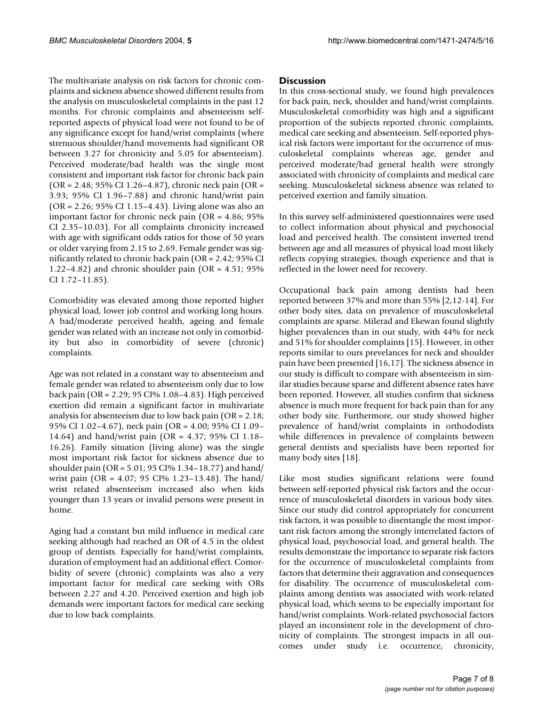The multivariate analysis on risk factors for chronic complaints and sickness absence showed different results from the analysis on musculoskeletal complaints in the past 12 months. For chronic complaints and absenteeism selfreported aspects of physical load were not found to be of any significance except for hand/wrist complaints (where strenuous shoulder/hand movements had significant OR between 3.27 for chronicity and 5.05 for absenteeism). Perceived moderate/bad health was the single most consistent and important risk factor for chronic back pain  $(OR = 2.48; 95\% \text{ CI } 1.26 - 4.87)$ , chronic neck pain  $(OR = 1.26)$ 3.93; 95% CI 1.96–7.88) and chronic hand/wrist pain (OR = 2.26; 95% CI 1.15–4.43). Living alone was also an important factor for chronic neck pain (OR = 4.86; 95% CI 2.35–10.03). For all complaints chronicity increased with age with significant odds ratios for those of 50 years or older varying from 2.15 to 2.69. Female gender was significantly related to chronic back pain (OR = 2.42; 95% CI 1.22–4.82) and chronic shoulder pain (OR = 4.51; 95% CI 1.72–11.85).

Comorbidity was elevated among those reported higher physical load, lower job control and working long hours. A bad/moderate perceived health, ageing and female gender was related with an increase not only in comorbidity but also in comorbidity of severe (chronic) complaints.

Age was not related in a constant way to absenteeism and female gender was related to absenteeism only due to low back pain (OR = 2.29; 95 CI% 1.08–4.83). High perceived exertion did remain a significant factor in multivariate analysis for absenteeism due to low back pain (OR = 2.18; 95% CI 1.02–4.67), neck pain (OR = 4.00; 95% CI 1.09– 14.64) and hand/wrist pain (OR = 4.37; 95% CI 1.18– 16.26). Family situation (living alone) was the single most important risk factor for sickness absence due to shoulder pain (OR = 5.01; 95 CI% 1.34–18.77) and hand/ wrist pain (OR = 4.07; 95 CI% 1.23–13.48). The hand/ wrist related absenteeism increased also when kids younger than 13 years or invalid persons were present in home.

Aging had a constant but mild influence in medical care seeking although had reached an OR of 4.5 in the oldest group of dentists. Especially for hand/wrist complaints, duration of employment had an additional effect. Comorbidity of severe (chronic) complaints was also a very important factor for medical care seeking with ORs between 2.27 and 4.20. Perceived exertion and high job demands were important factors for medical care seeking due to low back complaints.

#### **Discussion**

In this cross-sectional study, we found high prevalences for back pain, neck, shoulder and hand/wrist complaints. Musculoskeletal comorbidity was high and a significant proportion of the subjects reported chronic complaints, medical care seeking and absenteeism. Self-reported physical risk factors were important for the occurrence of musculoskeletal complaints whereas age, gender and perceived moderate/bad general health were strongly associated with chronicity of complaints and medical care seeking. Musculoskeletal sickness absence was related to perceived exertion and family situation.

In this survey self-administered questionnaires were used to collect information about physical and psychosocial load and perceived health. The consistent inverted trend between age and all measures of physical load most likely reflects copying strategies, though experience and that is reflected in the lower need for recovery.

Occupational back pain among dentists had been reported between 37% and more than 55% [2,12-14]. For other body sites, data on prevalence of musculoskeletal complaints are sparse. Milerad and Ekewan found slightly higher prevalences than in our study, with 44% for neck and 51% for shoulder complaints [15]. However, in other reports similar to ours prevelances for neck and shoulder pain have been presented [16,17]. The sickness absence in our study is difficult to compare with absenteeism in similar studies because sparse and different absence rates have been reported. However, all studies confirm that sickness absence is much more frequent for back pain than for any other body site. Furthermore, our study showed higher prevalence of hand/wrist complaints in orthododists while differences in prevalence of complaints between general dentists and specialists have been reported for many body sites [18].

Like most studies significant relations were found between self-reported physical risk factors and the occurrence of musculoskeletal disorders in various body sites. Since our study did control appropriately for concurrent risk factors, it was possible to disentangle the most important risk factors among the strongly interrelated factors of physical load, psychosocial load, and general health. The results demonstrate the importance to separate risk factors for the occurrence of musculoskeletal complaints from factors that determine their aggravation and consequences for disability. The occurrence of musculoskeletal complaints among dentists was associated with work-related physical load, which seems to be especially important for hand/wrist complaints. Work-related psychosocial factors played an inconsistent role in the development of chronicity of complaints. The strongest impacts in all outcomes under study i.e. occurrence, chronicity,